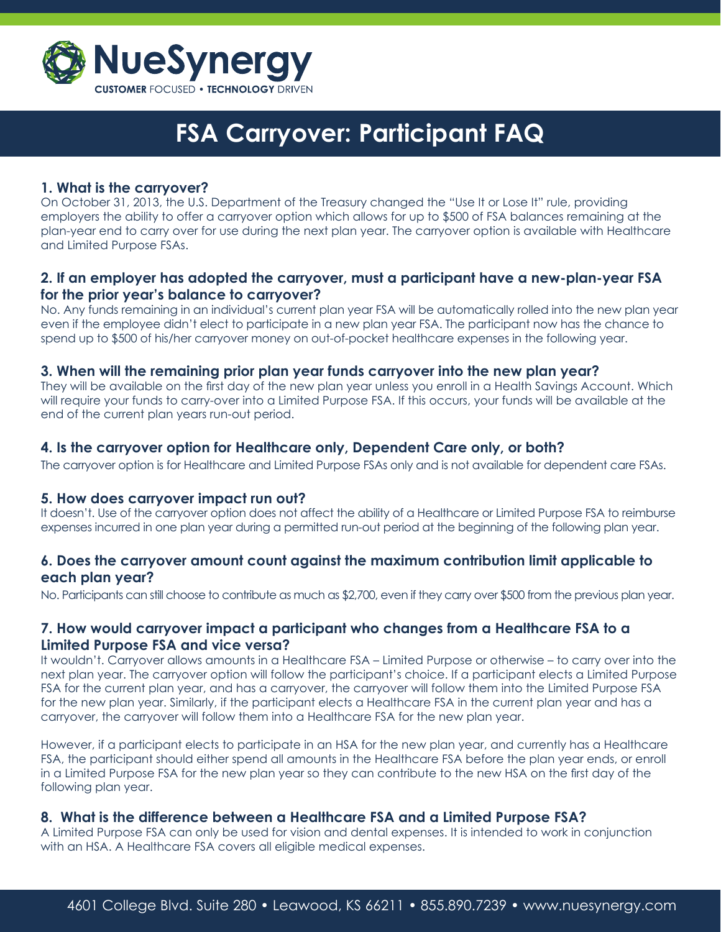

## **1. What is the carryover?**

On October 31, 2013, the U.S. Department of the Treasury changed the "Use It or Lose It" rule, providing employers the ability to offer a carryover option which allows for up to \$500 of FSA balances remaining at the plan-year end to carry over for use during the next plan year. The carryover option is available with Healthcare and Limited Purpose FSAs.

## **2. If an employer has adopted the carryover, must a participant have a new-plan-year FSA for the prior year's balance to carryover?**

No. Any funds remaining in an individual's current plan year FSA will be automatically rolled into the new plan year even if the employee didn't elect to participate in a new plan year FSA. The participant now has the chance to spend up to \$500 of his/her carryover money on out-of-pocket healthcare expenses in the following year.

#### **3. When will the remaining prior plan year funds carryover into the new plan year?**

They will be available on the first day of the new plan year unless you enroll in a Health Savings Account. Which will require your funds to carry-over into a Limited Purpose FSA. If this occurs, your funds will be available at the end of the current plan years run-out period.

## **4. Is the carryover option for Healthcare only, Dependent Care only, or both?**

The carryover option is for Healthcare and Limited Purpose FSAs only and is not available for dependent care FSAs.

#### **5. How does carryover impact run out?**

It doesn't. Use of the carryover option does not affect the ability of a Healthcare or Limited Purpose FSA to reimburse expenses incurred in one plan year during a permitted run-out period at the beginning of the following plan year.

## **6. Does the carryover amount count against the maximum contribution limit applicable to each plan year?**

No. Participants can still choose to contribute as much as \$2,700, even if they carry over \$500 from the previous plan year.

# **7. How would carryover impact a participant who changes from a Healthcare FSA to a Limited Purpose FSA and vice versa?**

It wouldn't. Carryover allows amounts in a Healthcare FSA – Limited Purpose or otherwise – to carry over into the next plan year. The carryover option will follow the participant's choice. If a participant elects a Limited Purpose FSA for the current plan year, and has a carryover, the carryover will follow them into the Limited Purpose FSA for the new plan year. Similarly, if the participant elects a Healthcare FSA in the current plan year and has a carryover, the carryover will follow them into a Healthcare FSA for the new plan year.

However, if a participant elects to participate in an HSA for the new plan year, and currently has a Healthcare FSA, the participant should either spend all amounts in the Healthcare FSA before the plan year ends, or enroll in a Limited Purpose FSA for the new plan year so they can contribute to the new HSA on the first day of the following plan year.

#### **8. What is the difference between a Healthcare FSA and a Limited Purpose FSA?**

A Limited Purpose FSA can only be used for vision and dental expenses. It is intended to work in conjunction with an HSA. A Healthcare FSA covers all eligible medical expenses.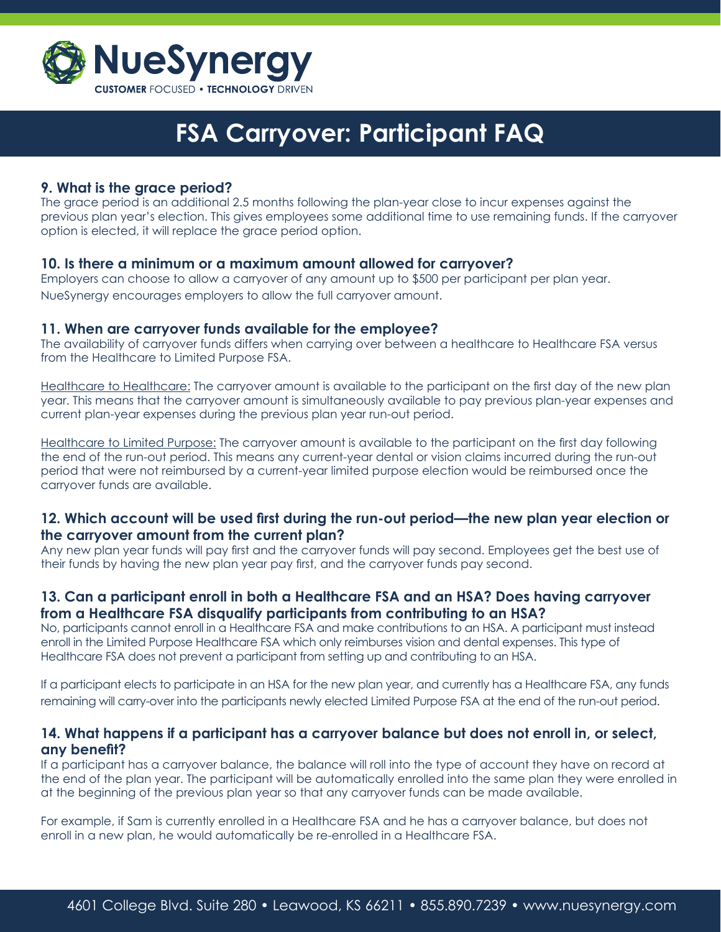

## **9. What is the grace period?**

The grace period is an additional 2.5 months following the plan-year close to incur expenses against the previous plan year's election. This gives employees some additional time to use remaining funds. If the carryover option is elected, it will replace the grace period option.

#### **10. Is there a minimum or a maximum amount allowed for carryover?**

Employers can choose to allow a carryover of any amount up to \$500 per participant per plan year. NueSynergy encourages employers to allow the full carryover amount.

#### **11. When are carryover funds available for the employee?**

The availability of carryover funds differs when carrying over between a healthcare to Healthcare FSA versus from the Healthcare to Limited Purpose FSA.

Healthcare to Healthcare: The carryover amount is available to the participant on the first day of the new plan year. This means that the carryover amount is simultaneously available to pay previous plan-year expenses and current plan-year expenses during the previous plan year run-out period.

Healthcare to Limited Purpose: The carryover amount is available to the participant on the first day following the end of the run-out period. This means any current-year dental or vision claims incurred during the run-out period that were not reimbursed by a current-year limited purpose election would be reimbursed once the carryover funds are available.

## **12. Which account will be used first during the run-out period—the new plan year election or the carryover amount from the current plan?**

Any new plan year funds will pay first and the carryover funds will pay second. Employees get the best use of their funds by having the new plan year pay first, and the carryover funds pay second.

# **13. Can a participant enroll in both a Healthcare FSA and an HSA? Does having carryover from a Healthcare FSA disqualify participants from contributing to an HSA?**

No, participants cannot enroll in a Healthcare FSA and make contributions to an HSA. A participant must instead enroll in the Limited Purpose Healthcare FSA which only reimburses vision and dental expenses. This type of Healthcare FSA does not prevent a participant from setting up and contributing to an HSA.

If a participant elects to participate in an HSA for the new plan year, and currently has a Healthcare FSA, any funds remaining will carry-over into the participants newly elected Limited Purpose FSA at the end of the run-out period.

#### **14. What happens if a participant has a carryover balance but does not enroll in, or select, any benefit?**

If a participant has a carryover balance, the balance will roll into the type of account they have on record at the end of the plan year. The participant will be automatically enrolled into the same plan they were enrolled in at the beginning of the previous plan year so that any carryover funds can be made available.

For example, if Sam is currently enrolled in a Healthcare FSA and he has a carryover balance, but does not enroll in a new plan, he would automatically be re-enrolled in a Healthcare FSA.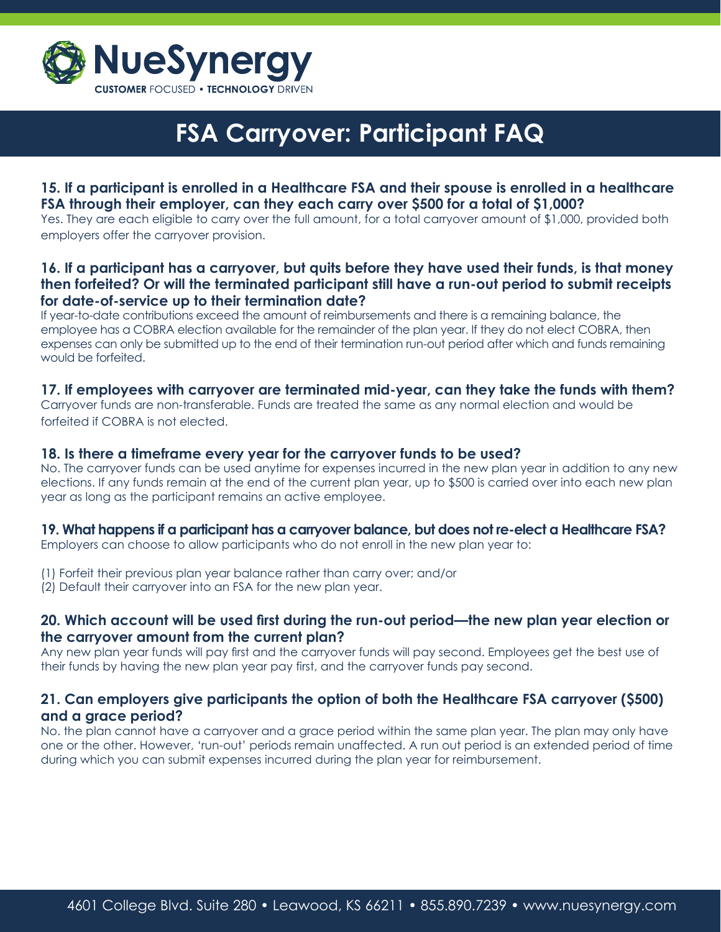

# **15. If a participant is enrolled in a Healthcare FSA and their spouse is enrolled in a healthcare FSA through their employer, can they each carry over \$500 for a total of \$1,000?**

Yes. They are each eligible to carry over the full amount, for a total carryover amount of \$1,000, provided both employers offer the carryover provision.

## **16. If a participant has a carryover, but quits before they have used their funds, is that money then forfeited? Or will the terminated participant still have a run-out period to submit receipts for date-of-service up to their termination date?**

If year-to-date contributions exceed the amount of reimbursements and there is a remaining balance, the employee has a COBRA election available for the remainder of the plan year. If they do not elect COBRA, then expenses can only be submitted up to the end of their termination run-out period after which and funds remaining would be forfeited.

#### **17. If employees with carryover are terminated mid-year, can they take the funds with them?**

Carryover funds are non-transferable. Funds are treated the same as any normal election and would be forfeited if COBRA is not elected.

#### **18. Is there a timeframe every year for the carryover funds to be used?**

No. The carryover funds can be used anytime for expenses incurred in the new plan year in addition to any new elections. If any funds remain at the end of the current plan year, up to \$500 is carried over into each new plan year as long as the participant remains an active employee.

#### **19. What happens if a participant has a carryover balance, but does not re-elect a Healthcare FSA?**

Employers can choose to allow participants who do not enroll in the new plan year to:

- (1) Forfeit their previous plan year balance rather than carry over; and/or
- (2) Default their carryover into an FSA for the new plan year.

#### **20. Which account will be used first during the run-out period—the new plan year election or the carryover amount from the current plan?**

Any new plan year funds will pay first and the carryover funds will pay second. Employees get the best use of their funds by having the new plan year pay first, and the carryover funds pay second.

## **21. Can employers give participants the option of both the Healthcare FSA carryover (\$500) and a grace period?**

No. the plan cannot have a carryover and a grace period within the same plan year. The plan may only have one or the other. However, 'run-out' periods remain unaffected. A run out period is an extended period of time during which you can submit expenses incurred during the plan year for reimbursement.